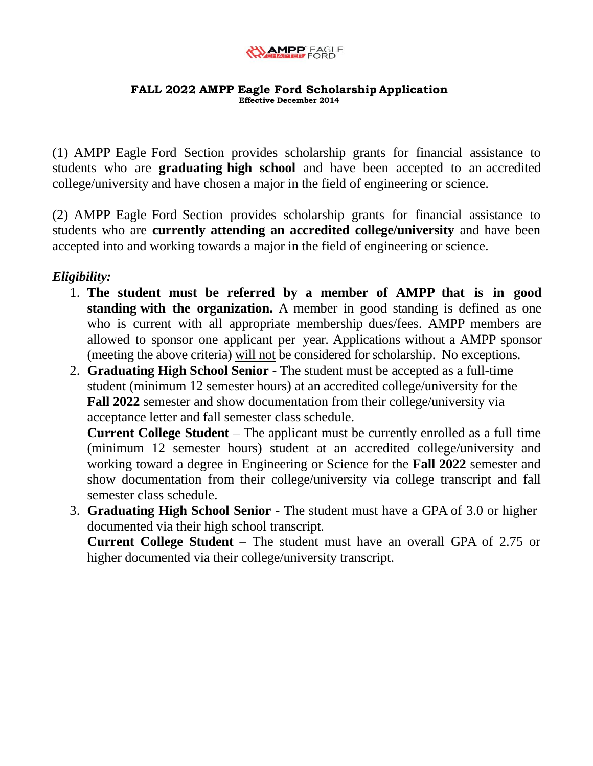

(1) AMPP Eagle Ford Section provides scholarship grants for financial assistance to students who are **graduating high school** and have been accepted to an accredited college/university and have chosen a major in the field of engineering or science.

(2) AMPP Eagle Ford Section provides scholarship grants for financial assistance to students who are **currently attending an accredited college/university** and have been accepted into and working towards a major in the field of engineering or science.

## *Eligibility:*

- 1. **The student must be referred by a member of AMPP that is in good standing with the organization.** A member in good standing is defined as one who is current with all appropriate membership dues/fees. AMPP members are allowed to sponsor one applicant per year. Applications without a AMPP sponsor (meeting the above criteria) will not be considered for scholarship. No exceptions.
- 2. **Graduating High School Senior** The student must be accepted as a full-time student (minimum 12 semester hours) at an accredited college/university for the **Fall 2022** semester and show documentation from their college/university via acceptance letter and fall semester class schedule.

**Current College Student** – The applicant must be currently enrolled as a full time (minimum 12 semester hours) student at an accredited college/university and working toward a degree in Engineering or Science for the **Fall 2022** semester and show documentation from their college/university via college transcript and fall semester class schedule.

3. **Graduating High School Senior** - The student must have a GPA of 3.0 or higher documented via their high school transcript.

**Current College Student** – The student must have an overall GPA of 2.75 or higher documented via their college/university transcript.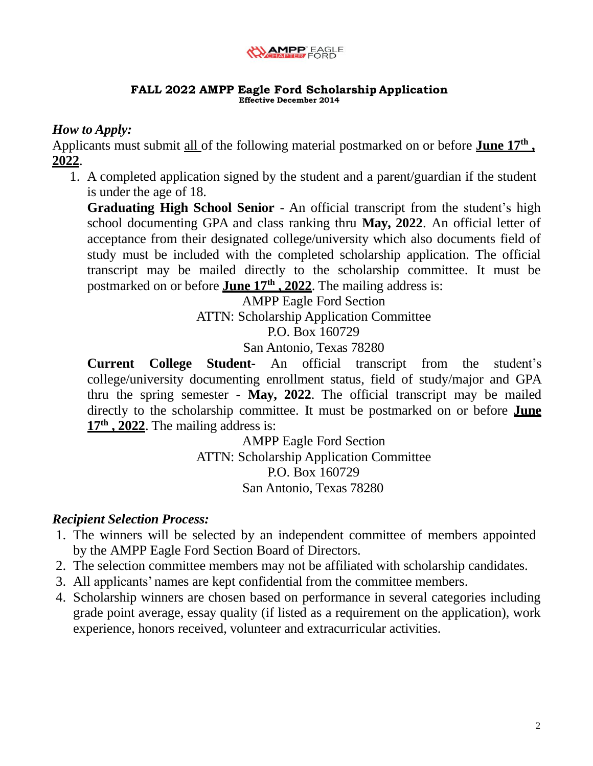

## *How to Apply:*

Applicants must submit all of the following material postmarked on or before **June 17<sup>th</sup>**, **2022**.

1. A completed application signed by the student and a parent/guardian if the student is under the age of 18.

**Graduating High School Senior** - An official transcript from the student's high school documenting GPA and class ranking thru **May, 2022**. An official letter of acceptance from their designated college/university which also documents field of study must be included with the completed scholarship application. The official transcript may be mailed directly to the scholarship committee. It must be postmarked on or before **June 17<sup>th</sup>**, 2022. The mailing address is:

AMPP Eagle Ford Section

ATTN: Scholarship Application Committee

P.O. Box 160729

San Antonio, Texas 78280

**Current College Student-** An official transcript from the student's college/university documenting enrollment status, field of study/major and GPA thru the spring semester - **May, 2022**. The official transcript may be mailed directly to the scholarship committee. It must be postmarked on or before **June 17 th , 2022**. The mailing address is:

> AMPP Eagle Ford Section ATTN: Scholarship Application Committee P.O. Box 160729 San Antonio, Texas 78280

## *Recipient Selection Process:*

- 1. The winners will be selected by an independent committee of members appointed by the AMPP Eagle Ford Section Board of Directors.
- 2. The selection committee members may not be affiliated with scholarship candidates.
- 3. All applicants' names are kept confidential from the committee members.
- 4. Scholarship winners are chosen based on performance in several categories including grade point average, essay quality (if listed as a requirement on the application), work experience, honors received, volunteer and extracurricular activities.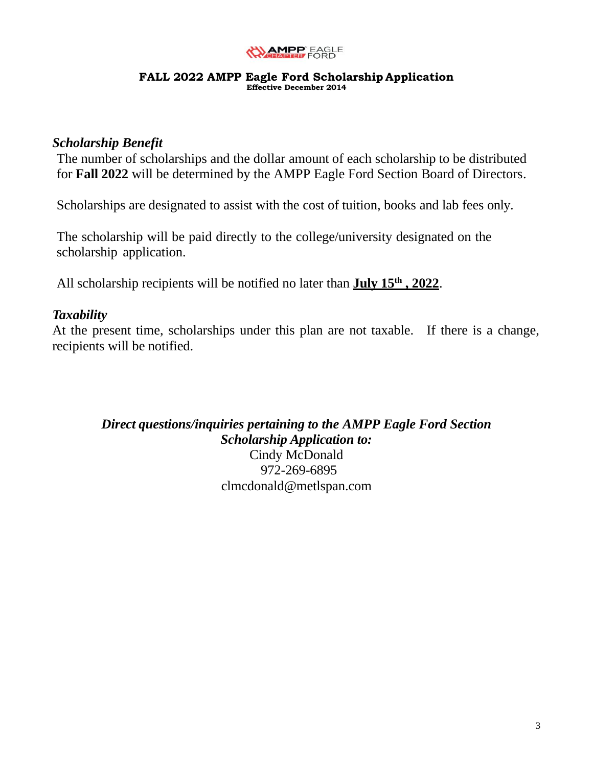

### *Scholarship Benefit*

The number of scholarships and the dollar amount of each scholarship to be distributed for **Fall 2022** will be determined by the AMPP Eagle Ford Section Board of Directors.

Scholarships are designated to assist with the cost of tuition, books and lab fees only.

The scholarship will be paid directly to the college/university designated on the scholarship application.

All scholarship recipients will be notified no later than **July 15 th , 2022**.

## *Taxability*

At the present time, scholarships under this plan are not taxable. If there is a change, recipients will be notified.

*Direct questions/inquiries pertaining to the AMPP Eagle Ford Section Scholarship Application to:*

Cindy McDonald 972-269-6895 [clmcdonald@metlspan.com](mailto:clmcdonald@metlspan.com)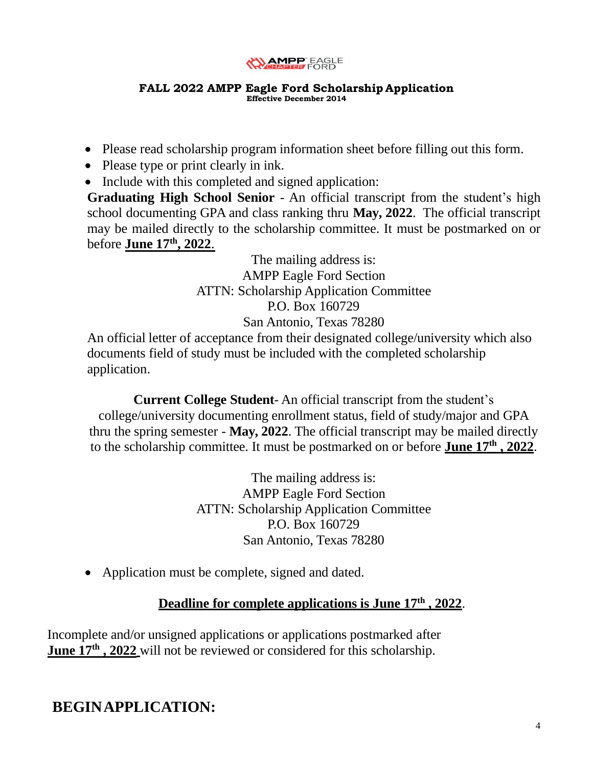

- Please read scholarship program information sheet before filling out this form.
- Please type or print clearly in ink.
- Include with this completed and signed application:

**Graduating High School Senior** - An official transcript from the student's high school documenting GPA and class ranking thru **May, 2022**. The official transcript may be mailed directly to the scholarship committee. It must be postmarked on or before **June 17 th , 2022**.

> The mailing address is: AMPP Eagle Ford Section ATTN: Scholarship Application Committee P.O. Box 160729 San Antonio, Texas 78280

An official letter of acceptance from their designated college/university which also documents field of study must be included with the completed scholarship application.

**Current College Student**- An official transcript from the student's college/university documenting enrollment status, field of study/major and GPA thru the spring semester - **May, 2022**. The official transcript may be mailed directly to the scholarship committee. It must be postmarked on or before **June 17<sup>th</sup>**, 2022.

> The mailing address is: AMPP Eagle Ford Section ATTN: Scholarship Application Committee P.O. Box 160729 San Antonio, Texas 78280

• Application must be complete, signed and dated.

## **Deadline for complete applications is June 17 th , 2022**.

Incomplete and/or unsigned applications or applications postmarked after **June 17<sup>th</sup>**, 2022 will not be reviewed or considered for this scholarship.

**BEGINAPPLICATION:**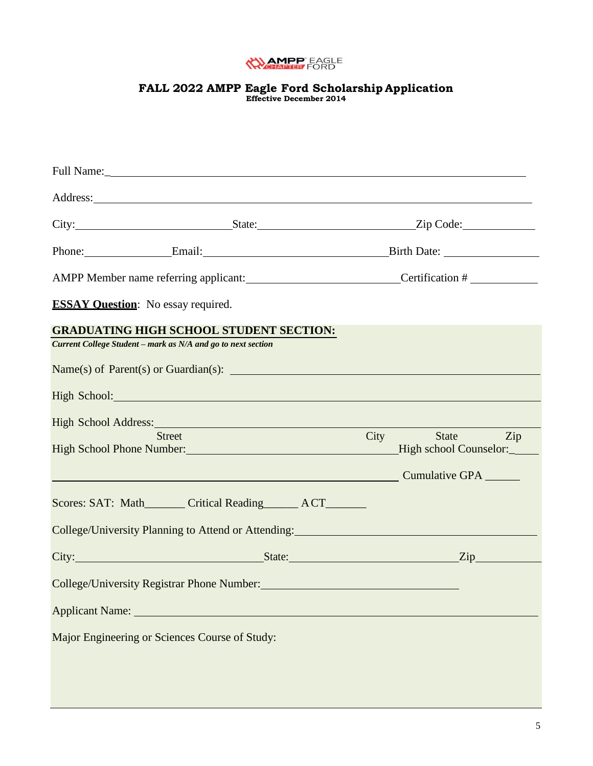

## **FALL 2022 AMPP Eagle Ford Scholarship Application**

**Effective December 2014**

|                                           |                                                                                                                | Address: <u>and the second contract of the second contract of the second contract of the second contract of the second contract of the second contract of the second contract of the second contract of the second contract of t</u> |
|-------------------------------------------|----------------------------------------------------------------------------------------------------------------|--------------------------------------------------------------------------------------------------------------------------------------------------------------------------------------------------------------------------------------|
|                                           |                                                                                                                |                                                                                                                                                                                                                                      |
|                                           |                                                                                                                | Phone: Email: Email: Birth Date:                                                                                                                                                                                                     |
|                                           |                                                                                                                | AMPP Member name referring applicant: Certification #                                                                                                                                                                                |
| <b>ESSAY Ouestion:</b> No essay required. |                                                                                                                |                                                                                                                                                                                                                                      |
|                                           | <b>GRADUATING HIGH SCHOOL STUDENT SECTION:</b><br>Current College Student - mark as N/A and go to next section |                                                                                                                                                                                                                                      |
|                                           | High School: New York Changes and School:                                                                      | $Name(s)$ of Parent(s) or Guardian(s): $\qquad \qquad$                                                                                                                                                                               |
|                                           | High School Address: Management of the School Address:<br><b>Street</b>                                        | <b>City</b><br>State Zip                                                                                                                                                                                                             |
|                                           | High School Phone Number: Manual Phone 2014                                                                    | High school Counselor:<br>Cumulative GPA                                                                                                                                                                                             |
|                                           | Scores: SAT: Math________ Critical Reading_______ ACT_______                                                   |                                                                                                                                                                                                                                      |
|                                           |                                                                                                                | College/University Planning to Attend or Attending: Management of Attending and Attending and Attending and Attending and Attending and Attending and Attending and Attending and Attending and Attending and Attending and At       |
|                                           |                                                                                                                | City: <u>City:</u> City: City: City: City: City: City: City: City: City: City: City: City: City: City: City: City: City: City: City: City: City: City: City: City: City: City: City: City: City: City: City: City: City: City: City  |
|                                           |                                                                                                                |                                                                                                                                                                                                                                      |
|                                           |                                                                                                                |                                                                                                                                                                                                                                      |
|                                           | Major Engineering or Sciences Course of Study:                                                                 |                                                                                                                                                                                                                                      |
|                                           |                                                                                                                |                                                                                                                                                                                                                                      |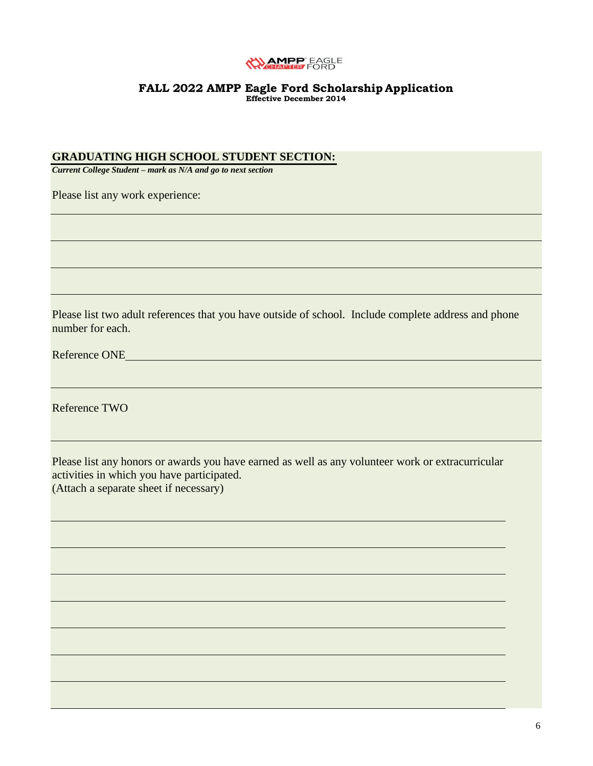

#### **GRADUATING HIGH SCHOOL STUDENT SECTION:**

*Current College Student – mark as N/A and go to next section*

Please list any work experience:

Please list two adult references that you have outside of school. Include complete address and phone number for each.

Reference ONE

Reference TWO

Please list any honors or awards you have earned as well as any volunteer work or extracurricular activities in which you have participated. (Attach a separate sheet if necessary)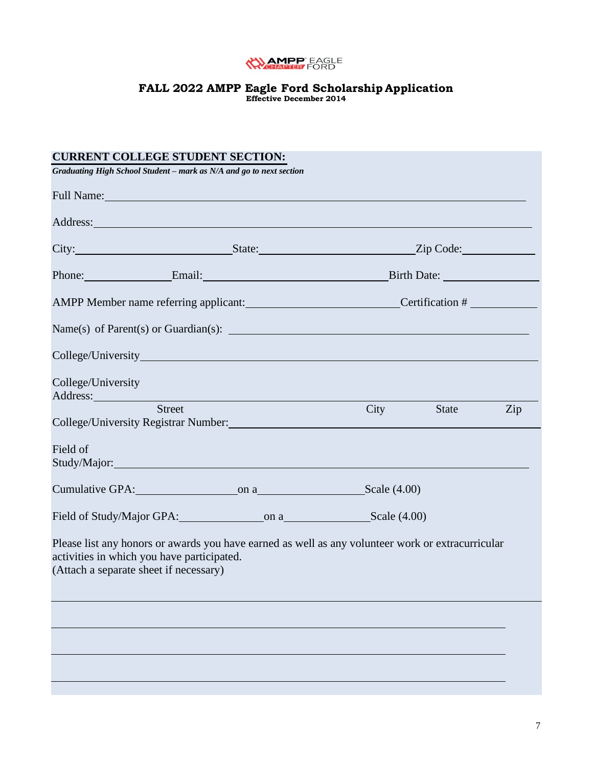

## **FALL 2022 AMPP Eagle Ford Scholarship Application**

**Effective December 2014**

| <b>CURRENT COLLEGE STUDENT SECTION:</b>                                                                                                                                                                                              |                                                       |             |              |     |  |
|--------------------------------------------------------------------------------------------------------------------------------------------------------------------------------------------------------------------------------------|-------------------------------------------------------|-------------|--------------|-----|--|
| Graduating High School Student - mark as N/A and go to next section                                                                                                                                                                  |                                                       |             |              |     |  |
| Full Name: Name and Solid Name and Solid Name and Solid Name and Solid Name and Solid Name and Solid Name and Solid Name and Solid Name and Solid Name and Solid Name and Solid Name and Solid Name and Solid Name and Solid N       |                                                       |             |              |     |  |
| Address: <u>New York: Address: New York: New York: New York: New York: New York: New York: New York: New York: New York: New York: New York: New York: New York: New York: New York: New York: New York: New York: New York: New</u> |                                                       |             |              |     |  |
|                                                                                                                                                                                                                                      |                                                       |             |              |     |  |
| Phone: Email: Email: Birth Date:                                                                                                                                                                                                     |                                                       |             |              |     |  |
|                                                                                                                                                                                                                                      | AMPP Member name referring applicant: Certification # |             |              |     |  |
| $Name(s)$ of Parent(s) or Guardian(s): $\qquad \qquad$                                                                                                                                                                               |                                                       |             |              |     |  |
|                                                                                                                                                                                                                                      |                                                       |             |              |     |  |
| College/University<br>Address:                                                                                                                                                                                                       |                                                       |             |              |     |  |
| Street<br>College/University Registrar Number: Manual According to the College/University Registrar Number:                                                                                                                          |                                                       | <b>City</b> | <b>State</b> | Zip |  |
| Field of                                                                                                                                                                                                                             |                                                       |             |              |     |  |
|                                                                                                                                                                                                                                      |                                                       |             |              |     |  |
|                                                                                                                                                                                                                                      |                                                       |             |              |     |  |
| Please list any honors or awards you have earned as well as any volunteer work or extracurricular<br>activities in which you have participated.<br>(Attach a separate sheet if necessary)                                            |                                                       |             |              |     |  |
|                                                                                                                                                                                                                                      |                                                       |             |              |     |  |
|                                                                                                                                                                                                                                      |                                                       |             |              |     |  |
|                                                                                                                                                                                                                                      |                                                       |             |              |     |  |